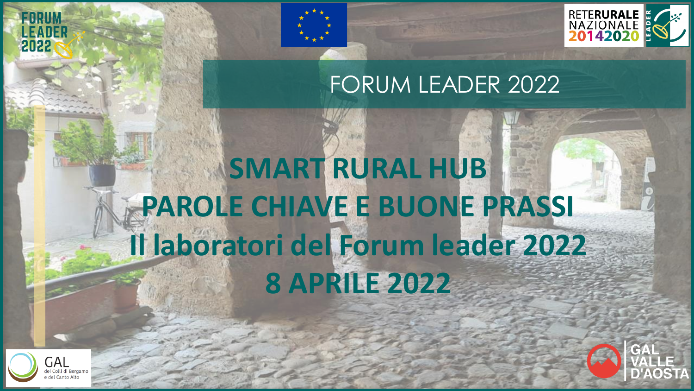

## FORUM LEADER 2022

# **SMART RURAL HUB PAROLE CHIAVE E BUONE PRASSI Il laboratori del Forum leader 2022 8 APRILE 2022**



2022

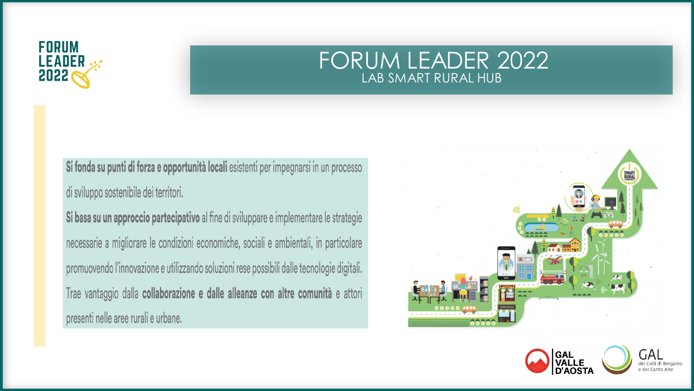

Si fonda su punti di forza e opportunità locali esistenti per impegnarsi in un processo di sviluppo sostenibile dei territori.

Si basa su un approccio partecipativo al fine di sviluppare e implementare le strategie necessarie a migliorare le condizioni economiche, sociali e ambientali, in particolare promuovendo l'innovazione e utilizzando soluzioni rese possibili dalle tecnologie digitali. Trae vantaggio dalla collaborazione e dalle alleanze con altre comunità e attori presenti nelle aree rurali e urbane.



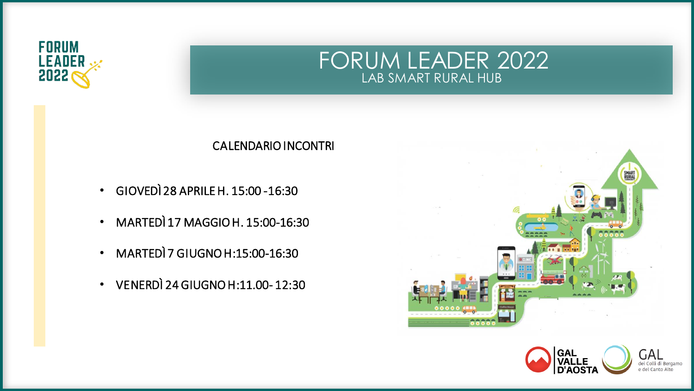



#### CALENDARIO INCONTRI

- GIOVEDÌ 28 APRILE H. 15:00 -16:30
- MARTEDÌ 17 MAGGIO H. 15:00-16:30
- MARTEDÌ 7 GIUGNO H:15:00-16:30
- VENERDÌ 24 GIUGNO H:11.00- 12:30

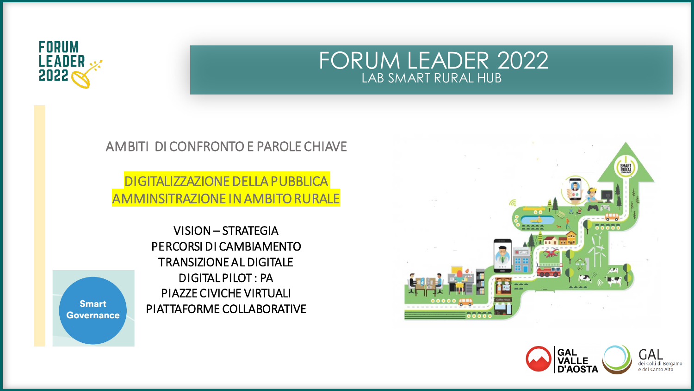## FORUM LEADER 2022 LAB SMART RURAL HUB



#### AMBITI DI CONFRONTO E PAROLE CHIAVE

#### **DIGITALIZZAZIONE DELLA PUBBLICA IINSITRAZIONE IN AMBITO RURALE**

VISION - STRATEGIA PERCORSI DI CAMBIAMENTO **TRANSIZIONE AL DIGITALE DIGITAL PILOT: PA PIAZZE CIVICHE VIRTUALI** PIATTAFORME COLLABORATIVE





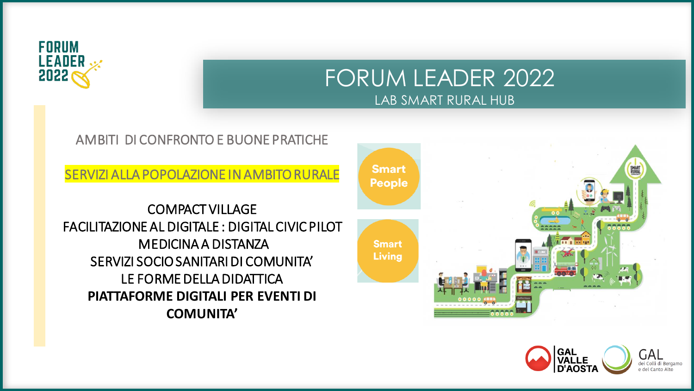

#### AMBITI DI CONFRONTO E BUONE PRATICHE

SERVIZI ALLA POPOLAZIONE IN AMBITO RURALE

COMPACT VILLAGE FACILITAZIONE AL DIGITALE : DIGITAL CIVIC PILOT MEDICINA A DISTANZA SERVIZI SOCIO SANITARI DI COMUNITA' LE FORME DELLA DIDATTICA **PIATTAFORME DIGITALI PER EVENTI DI COMUNITA'**



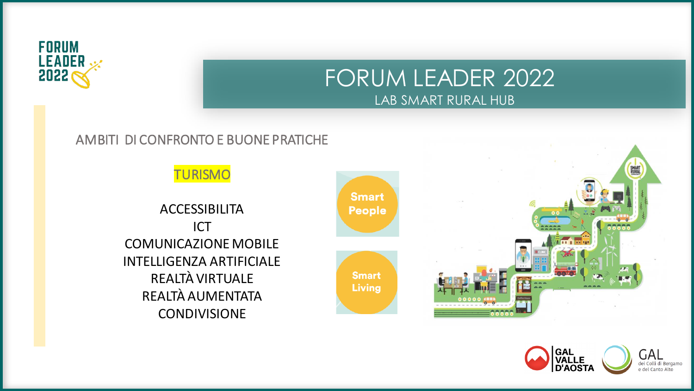

#### AMBITI DI CONFRONTO E BUONE PRATICHE

**TURISMO** 

ACCESSIBILITA ICT COMUNICAZIONE MOBILE INTELLIGENZA ARTIFICIALE REALTÀ VIRTUALE REALTÀ AUMENTATA **CONDIVISIONE** 





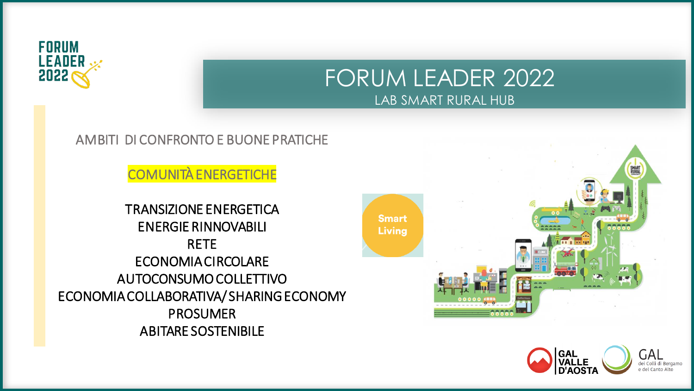

## FORUM LEADER 2022 LAB SMART RURAL HUB

#### AMBITI DI CONFRONTO E BUONE PRATICHE

**COMUNITÀ ENERGETICHE** 

**TRANSIZIONE ENERGETICA ENERGIE RINNOVABILI RETE ECONOMIA CIRCOLARE** AUTOCONSUMO COLLETTIVO ECONOMIA COLLABORATIVA/SHARING ECONOMY **PROSUMER ABITARE SOSTENIBILE** 



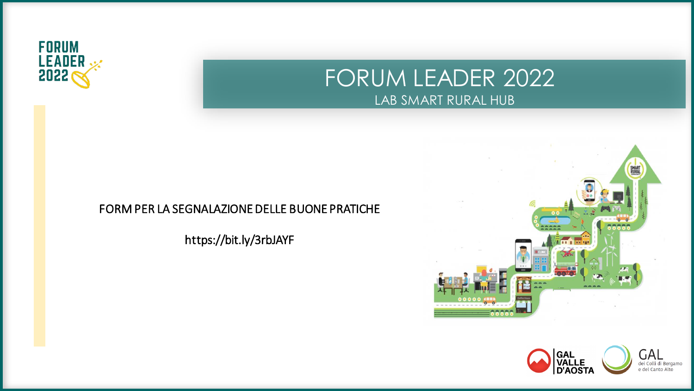

#### FORM PER LA SEGNALAZIONE DELLE BUONE PRATICHE

https://bit.ly/3rbJAYF